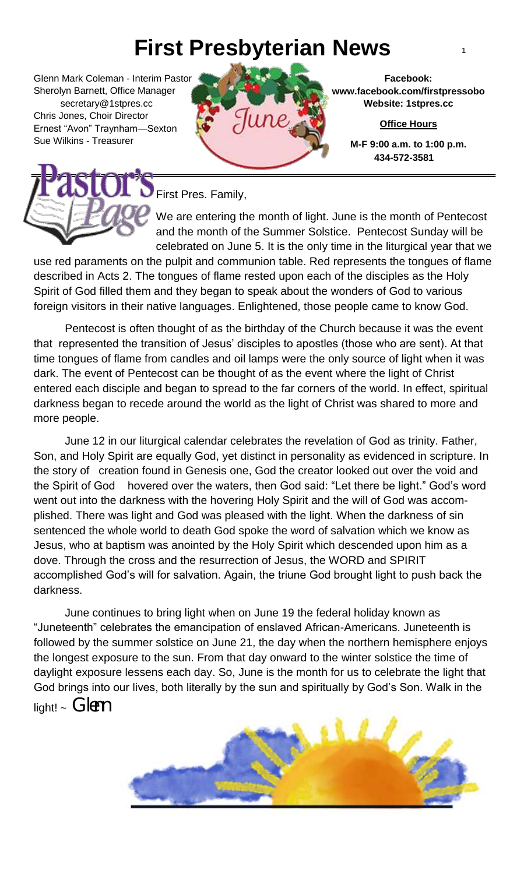## **First Presbyterian News** <sup>1</sup>

Glenn Mark Coleman - Interim Pastor Sherolyn Barnett, Office Manager secretary@1stpres.cc Chris Jones, Choir Director Ernest "Avon" Traynham—Sexton Sue Wilkins - Treasurer



**Facebook: www.facebook.com/firstpressobo Website: 1stpres.cc**

**Office Hours**

**M-F 9:00 a.m. to 1:00 p.m. 434-572-3581**



First Pres. Family,

We are entering the month of light. June is the month of Pentecost and the month of the Summer Solstice. Pentecost Sunday will be celebrated on June 5. It is the only time in the liturgical year that we

use red paraments on the pulpit and communion table. Red represents the tongues of flame described in Acts 2. The tongues of flame rested upon each of the disciples as the Holy Spirit of God filled them and they began to speak about the wonders of God to various foreign visitors in their native languages. Enlightened, those people came to know God.

 darkness began to recede around the world as the light of Christ was shared to more and Pentecost is often thought of as the birthday of the Church because it was the event that represented the transition of Jesus' disciples to apostles (those who are sent). At that time tongues of flame from candles and oil lamps were the only source of light when it was dark. The event of Pentecost can be thought of as the event where the light of Christ entered each disciple and began to spread to the far corners of the world. In effect, spiritual more people.

 Jesus, who at baptism was anointed by the Holy Spirit which descended upon him as a June 12 in our liturgical calendar celebrates the revelation of God as trinity. Father, Son, and Holy Spirit are equally God, yet distinct in personality as evidenced in scripture. In the story of creation found in Genesis one, God the creator looked out over the void and the Spirit of God hovered over the waters, then God said: "Let there be light." God's word went out into the darkness with the hovering Holy Spirit and the will of God was accomplished. There was light and God was pleased with the light. When the darkness of sin sentenced the whole world to death God spoke the word of salvation which we know as dove. Through the cross and the resurrection of Jesus, the WORD and SPIRIT accomplished God's will for salvation. Again, the triune God brought light to push back the darkness.

June continues to bring light when on June 19 the federal holiday known as "Juneteenth" celebrates the emancipation of enslaved African-Americans. Juneteenth is followed by the summer solstice on June 21, the day when the northern hemisphere enjoys the longest exposure to the sun. From that day onward to the winter solstice the time of daylight exposure lessens each day. So, June is the month for us to celebrate the light that God brings into our lives, both literally by the sun and spiritually by God's Son. Walk in the light!  $\sim$  Glenn

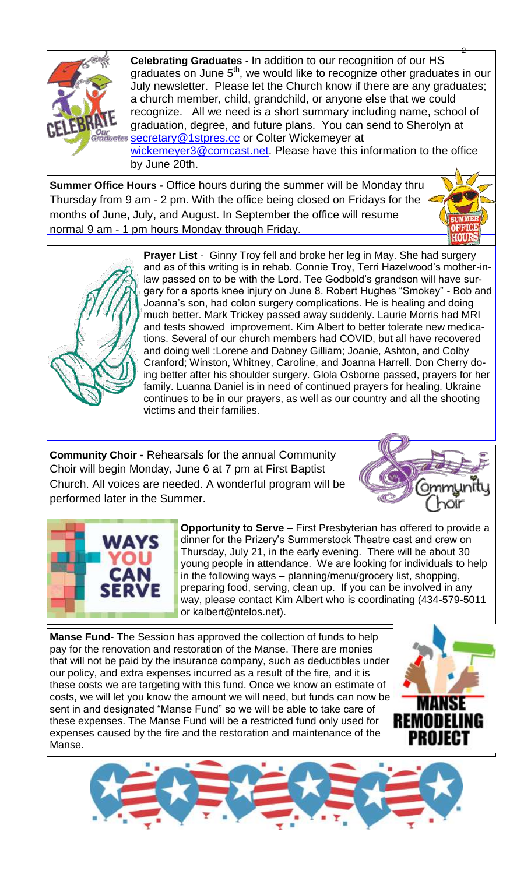

2 **Celebrating Graduates -** In addition to our recognition of our HS graduates on June 5<sup>th</sup>, we would like to recognize other graduates in our July newsletter. Please let the Church know if there are any graduates; a church member, child, grandchild, or anyone else that we could recognize. All we need is a short summary including name, school of graduation, degree, and future plans. You can send to Sherolyn at **Sour**<br>Graduates **[secretary@1stpres.cc](mailto:secretary@1stpres.cc)** or Colter Wickemeyer at [wickemeyer3@comcast.net.](mailto:wickemeyer3@comcast.net) Please have this information to the office by June 20th.

**Summer Office Hours -** Office hours during the summer will be Monday thru Thursday from 9 am - 2 pm. With the office being closed on Fridays for the months of June, July, and August. In September the office will resume normal 9 am - 1 pm hours Monday through Friday.



**Prayer List** - Ginny Troy fell and broke her leg in May. She had surgery and as of this writing is in rehab. Connie Troy, Terri Hazelwood's mother-inlaw passed on to be with the Lord. Tee Godbold's grandson will have surgery for a sports knee injury on June 8. Robert Hughes "Smokey" - Bob and Joanna's son, had colon surgery complications. He is healing and doing much better. Mark Trickey passed away suddenly. Laurie Morris had MRI and tests showed improvement. Kim Albert to better tolerate new medications. Several of our church members had COVID, but all have recovered and doing well :Lorene and Dabney Gilliam; Joanie, Ashton, and Colby Cranford; Winston, Whitney, Caroline, and Joanna Harrell. Don Cherry doing better after his shoulder surgery. Glola Osborne passed, prayers for her family. Luanna Daniel is in need of continued prayers for healing. Ukraine continues to be in our prayers, as well as our country and all the shooting victims and their families.

**Community Choir -** Rehearsals for the annual Community Choir will begin Monday, June 6 at 7 pm at First Baptist Church. All voices are needed. A wonderful program will be performed later in the Summer.





**Opportunity to Serve** – First Presbyterian has offered to provide a dinner for the Prizery's Summerstock Theatre cast and crew on Thursday, July 21, in the early evening. There will be about 30 young people in attendance. We are looking for individuals to help in the following ways – planning/menu/grocery list, shopping, preparing food, serving, clean up. If you can be involved in any way, please contact Kim Albert who is coordinating (434-579-5011 or kalbert@ntelos.net).

**Manse Fund**- The Session has approved the collection of funds to help pay for the renovation and restoration of the Manse. There are monies that will not be paid by the insurance company, such as deductibles under our policy, and extra expenses incurred as a result of the fire, and it is these costs we are targeting with this fund. Once we know an estimate of costs, we will let you know the amount we will need, but funds can now be sent in and designated "Manse Fund" so we will be able to take care of these expenses. The Manse Fund will be a restricted fund only used for expenses caused by the fire and the restoration and maintenance of the Manse.



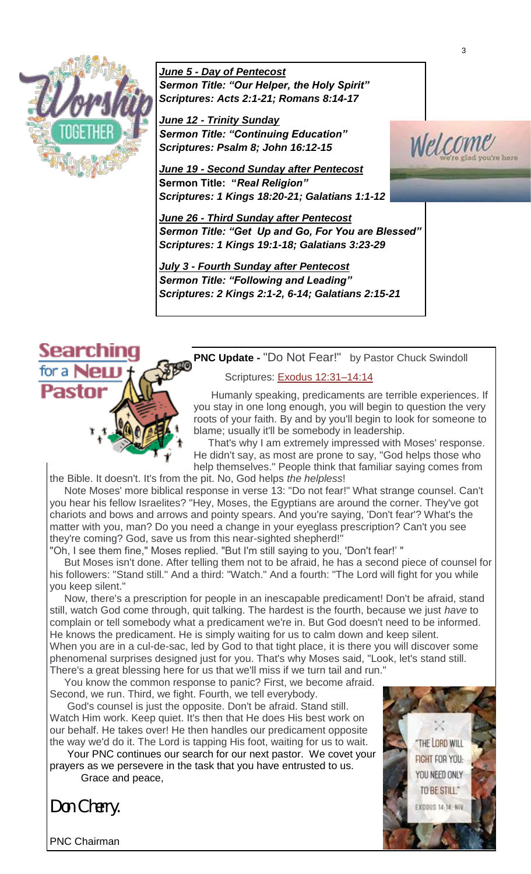

*June 5 - Day of Pentecost Sermon Title: "Our Helper, the Holy Spirit" Scriptures: Acts 2:1-21; Romans 8:14-17*

*June 12 - Trinity Sunday Sermon Title: "Continuing Education" Scriptures: Psalm 8; John 16:12-15*

*June 19 - Second Sunday after Pentecost*  **Sermon Title: "***Real Religion" Scriptures: 1 Kings 18:20-21; Galatians 1:1-12*

*June 26 - Third Sunday after Pentecost Sermon Title: "Get Up and Go, For You are Blessed" Scriptures: 1 Kings 19:1-18; Galatians 3:23-29*

*July 3 - Fourth Sunday after Pentecost Sermon Title: "Following and Leading" Scriptures: 2 Kings 2:1-2, 6-14; Galatians 2:15-21*



**PNC Update -** "Do Not Fear!" by Pastor Chuck Swindoll

## Scriptures: [Exodus 12:31–14:14](https://biblia.com/bible/nlt/Exod%2012.31%E2%80%9314.14)

 Humanly speaking, predicaments are terrible experiences. If you stay in one long enough, you will begin to question the very roots of your faith. By and by you'll begin to look for someone to blame; usually it'll be somebody in leadership.

 That's why I am extremely impressed with Moses' response. He didn't say, as most are prone to say, "God helps those who help themselves." People think that familiar saying comes from the Bible. It doesn't. It's from the pit. No, God helps *the helpless*!

 Note Moses' more biblical response in verse 13: "Do not fear!" What strange counsel. Can't you hear his fellow Israelites? "Hey, Moses, the Egyptians are around the corner. They've got chariots and bows and arrows and pointy spears. And you're saying, 'Don't fear'? What's the matter with you, man? Do you need a change in your eyeglass prescription? Can't you see they're coming? God, save us from this near-sighted shepherd!"

"Oh, I see them fine," Moses replied. "But I'm still saying to you, 'Don't fear!' "

 But Moses isn't done. After telling them not to be afraid, he has a second piece of counsel for his followers: "Stand still." And a third: "Watch." And a fourth: "The Lord will fight for you while you keep silent."

 Now, there's a prescription for people in an inescapable predicament! Don't be afraid, stand still, watch God come through, quit talking. The hardest is the fourth, because we just *have* to complain or tell somebody what a predicament we're in. But God doesn't need to be informed. He knows the predicament. He is simply waiting for us to calm down and keep silent. When you are in a cul-de-sac, led by God to that tight place, it is there you will discover some phenomenal surprises designed just for you. That's why Moses said, "Look, let's stand still.

There's a great blessing here for us that we'll miss if we turn tail and run."

 You know the common response to panic? First, we become afraid. Second, we run. Third, we fight. Fourth, we tell everybody.

 God's counsel is just the opposite. Don't be afraid. Stand still. Watch Him work. Keep quiet. It's then that He does His best work on our behalf. He takes over! He then handles our predicament opposite the way we'd do it. The Lord is tapping His foot, waiting for us to wait.

 Your PNC continues our search for our next pastor. We covet your prayers as we persevere in the task that you have entrusted to us. Grace and peace,

*Don Cherry.* 

PNC Chairman

THE LORD WILL FIGHT FOR YOU: YOU NEED ONLY TO BE STILL." **XODUS 14-14 NH** 

3

<u> wletcome</u>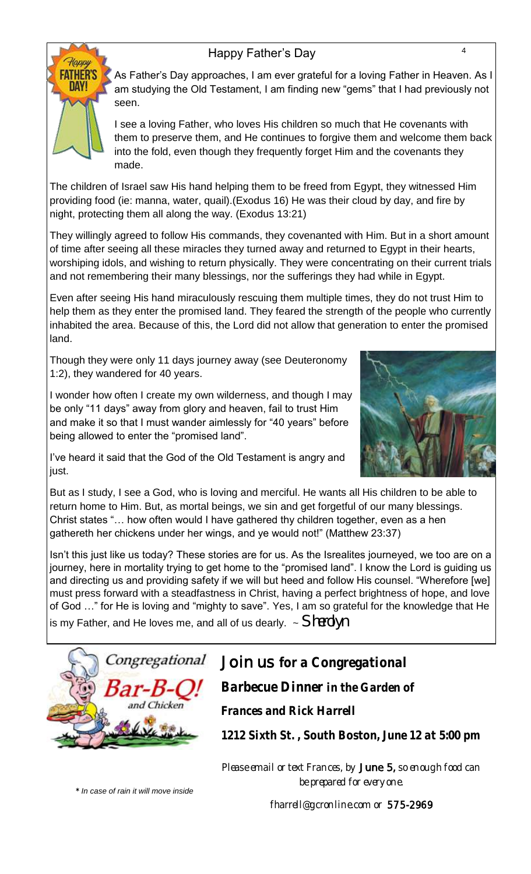## Happy Father's Day 44



As Father's Day approaches, I am ever grateful for a loving Father in Heaven. As I am studying the Old Testament, I am finding new "gems" that I had previously not seen.

I see a loving Father, who loves His children so much that He covenants with them to preserve them, and He continues to forgive them and welcome them back into the fold, even though they frequently forget Him and the covenants they made.

The children of Israel saw His hand helping them to be freed from Egypt, they witnessed Him providing food (ie: manna, water, quail).(Exodus 16) He was their cloud by day, and fire by night, protecting them all along the way. (Exodus 13:21)

They willingly agreed to follow His commands, they covenanted with Him. But in a short amount of time after seeing all these miracles they turned away and returned to Egypt in their hearts, worshiping idols, and wishing to return physically. They were concentrating on their current trials and not remembering their many blessings, nor the sufferings they had while in Egypt.

Even after seeing His hand miraculously rescuing them multiple times, they do not trust Him to help them as they enter the promised land. They feared the strength of the people who currently inhabited the area. Because of this, the Lord did not allow that generation to enter the promised land.

Though they were only 11 days journey away (see Deuteronomy 1:2), they wandered for 40 years.

I wonder how often I create my own wilderness, and though I may be only "11 days" away from glory and heaven, fail to trust Him and make it so that I must wander aimlessly for "40 years" before being allowed to enter the "promised land".



I've heard it said that the God of the Old Testament is angry and just.

But as I study, I see a God, who is loving and merciful. He wants all His children to be able to return home to Him. But, as mortal beings, we sin and get forgetful of our many blessings. Christ states "… how often would I have gathered thy children together, even as a hen gathereth her chickens under her wings, and ye would not!" (Matthew 23:37)

Isn't this just like us today? These stories are for us. As the Isrealites journeyed, we too are on a journey, here in mortality trying to get home to the "promised land". I know the Lord is guiding us and directing us and providing safety if we will but heed and follow His counsel. "Wherefore [we] must press forward with a steadfastness in Christ, having a perfect brightness of hope, and love of God …" for He is loving and "mighty to save". Yes, I am so grateful for the knowledge that He

is my Father, and He loves me, and all of us dearly. ~ *Sherolyn* 



Join us *for a Congregational Barbecue Dinner in the Garden of Frances and Rick Harrell* 

*1212 Sixth St. , South Boston, June 12 at 5:00 pm*

Please email or text Frances, by June 5, so enough food can be prepared for everyone.

*\* In case of rain it will move inside*

fharrell@gcronline.com or 575-2969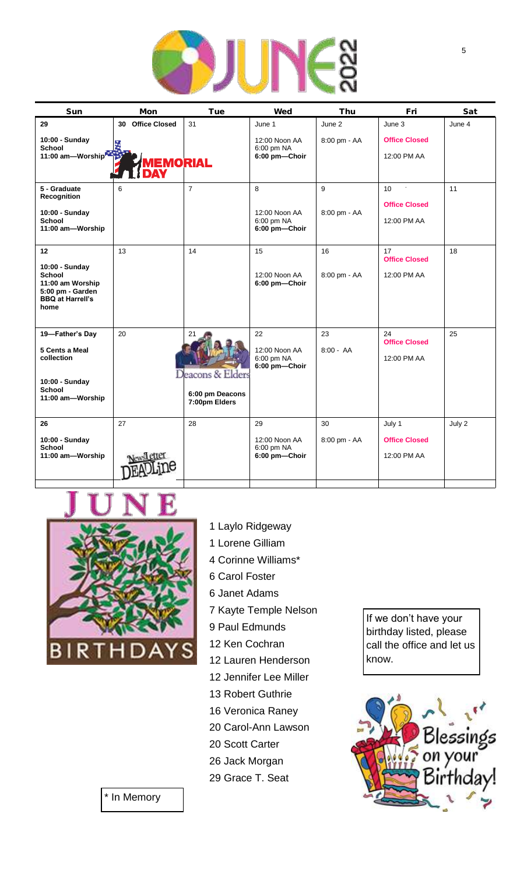

| Sun                                                                                                              | Mon                                 | Tue                                                        | Wed                                                    | Thu                    | Fri                                                    | Sat    |
|------------------------------------------------------------------------------------------------------------------|-------------------------------------|------------------------------------------------------------|--------------------------------------------------------|------------------------|--------------------------------------------------------|--------|
| 29<br>10:00 - Sunday<br><b>School</b><br>11:00 am-Worship                                                        | 30 Office Closed<br><b>IEMORIAL</b> | 31                                                         | June 1<br>12:00 Noon AA<br>6:00 pm NA<br>6:00 pm-Choir | June 2<br>8:00 pm - AA | June 3<br><b>Office Closed</b><br>12:00 PM AA          | June 4 |
| 5 - Graduate<br>Recognition<br>10:00 - Sunday<br><b>School</b><br>11:00 am-Worship                               | 6                                   | $\overline{7}$                                             | 8<br>12:00 Noon AA<br>6:00 pm NA<br>6:00 pm-Choir      | 9<br>8:00 pm - AA      | 10 <sup>1</sup><br><b>Office Closed</b><br>12:00 PM AA | 11     |
| 12<br>10:00 - Sunday<br><b>School</b><br>11:00 am Worship<br>5:00 pm - Garden<br><b>BBQ at Harrell's</b><br>home | 13                                  | 14                                                         | 15<br>12:00 Noon AA<br>6:00 pm-Choir                   | 16<br>8:00 pm - AA     | 17<br><b>Office Closed</b><br>12:00 PM AA              | 18     |
| 19-Father's Day<br>5 Cents a Meal<br>collection<br>10:00 - Sunday<br><b>School</b><br>11:00 am-Worship           | 20                                  | 21<br>Deacons & Elders<br>6:00 pm Deacons<br>7:00pm Elders | 22<br>12:00 Noon AA<br>6:00 pm NA<br>6:00 pm-Choir     | 23<br>$8:00 - AA$      | 24<br><b>Office Closed</b><br>12:00 PM AA              | 25     |
| 26<br>10:00 - Sunday<br><b>School</b><br>11:00 am-Worship                                                        | 27                                  | 28                                                         | 29<br>12:00 Noon AA<br>6:00 pm NA<br>6:00 pm-Choir     | 30<br>8:00 pm - AA     | July 1<br><b>Office Closed</b><br>12:00 PM AA          | July 2 |



- 1 Laylo Ridgeway
- 1 Lorene Gilliam 4 Corinne Williams\*
- 6 Carol Foster
- 6 Janet Adams
- 7 Kayte Temple Nelson
- 9 Paul Edmunds
- 12 Ken Cochran
- 12 Lauren Henderson
- 12 Jennifer Lee Miller
- 13 Robert Guthrie
- 16 Veronica Raney
- 20 Carol-Ann Lawson
- 20 Scott Carter
- 26 Jack Morgan
- 29 Grace T. Seat

If we don't have your birthday listed, please call the office and let us know.



\* In Memory